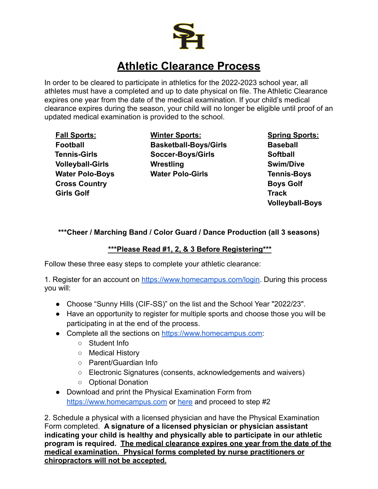

## **Athletic Clearance Process**

In order to be cleared to participate in athletics for the 2022-2023 school year, all athletes must have a completed and up to date physical on file. The Athletic Clearance expires one year from the date of the medical examination. If your child's medical clearance expires during the season, your child will no longer be eligible until proof of an updated medical examination is provided to the school.

**Fall Sports: Football Tennis-Girls Volleyball-Girls Water Polo-Boys Cross Country Girls Golf**

**Winter Sports: Basketball-Boys/Girls Soccer-Boys/Girls Wrestling Water Polo-Girls**

**Spring Sports: Baseball Softball Swim/Dive Tennis-Boys Boys Golf Track Volleyball-Boys**

## **\*\*\*Cheer / Marching Band / Color Guard / Dance Production (all 3 seasons)**

## **\*\*\*Please Read #1, 2, & 3 Before Registering\*\*\***

Follow these three easy steps to complete your athletic clearance:

1. Register for an account on [https://www.homecampus.com/login.](https://www.homecampus.com/login) During this process you will:

- Choose "Sunny Hills (CIF-SS)" on the list and the School Year "2022/23".
- Have an opportunity to register for multiple sports and choose those you will be participating in at the end of the process.
- Complete all the sections on [https://www.homecampus.com:](https://www.homecampus.com)
	- Student Info
	- Medical History
	- Parent/Guardian Info
	- Electronic Signatures (consents, acknowledgements and waivers)
	- Optional Donation
- Download and print the Physical Examination Form from <https://www.homecampus.com> or [here](https://drive.google.com/file/d/1TQzi2EDLj_d_ilhsvQ40DQlPdFxs5PeZ/view?usp=sharing) and proceed to step #2

2. Schedule a physical with a licensed physician and have the Physical Examination Form completed. **A signature of a licensed physician or physician assistant indicating your child is healthy and physically able to participate in our athletic program is required. The medical clearance expires one year from the date of the medical examination. Physical forms completed by nurse practitioners or chiropractors will not be accepted.**